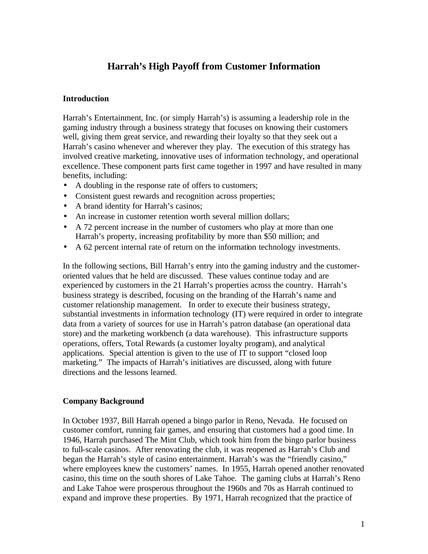# **Harrah's High Payoff from Customer Information**

#### **Introduction**

Harrah's Entertainment, Inc. (or simply Harrah's) is assuming a leadership role in the gaming industry through a business strategy that focuses on knowing their customers well, giving them great service, and rewarding their loyalty so that they seek out a Harrah's casino whenever and wherever they play. The execution of this strategy has involved creative marketing, innovative uses of information technology, and operational excellence. These component parts first came together in 1997 and have resulted in many benefits, including:

- A doubling in the response rate of offers to customers;
- Consistent guest rewards and recognition across properties;
- A brand identity for Harrah's casinos;
- An increase in customer retention worth several million dollars;
- A 72 percent increase in the number of customers who play at more than one Harrah's property, increasing profitability by more than \$50 million; and
- A 62 percent internal rate of return on the information technology investments.

In the following sections, Bill Harrah's entry into the gaming industry and the customeroriented values that he held are discussed. These values continue today and are experienced by customers in the 21 Harrah's properties across the country. Harrah's business strategy is described, focusing on the branding of the Harrah's name and customer relationship management. In order to execute their business strategy, substantial investments in information technology (IT) were required in order to integrate data from a variety of sources for use in Harrah's patron database (an operational data store) and the marketing workbench (a data warehouse). This infrastructure supports operations, offers, Total Rewards (a customer loyalty program), and analytical applications. Special attention is given to the use of IT to support "closed loop marketing." The impacts of Harrah's initiatives are discussed, along with future directions and the lessons learned.

#### **Company Background**

In October 1937, Bill Harrah opened a bingo parlor in Reno, Nevada. He focused on customer comfort, running fair games, and ensuring that customers had a good time. In 1946, Harrah purchased The Mint Club, which took him from the bingo parlor business to full-scale casinos. After renovating the club, it was reopened as Harrah's Club and began the Harrah's style of casino entertainment. Harrah's was the "friendly casino," where employees knew the customers' names. In 1955, Harrah opened another renovated casino, this time on the south shores of Lake Tahoe. The gaming clubs at Harrah's Reno and Lake Tahoe were prosperous throughout the 1960s and 70s as Harrah continued to expand and improve these properties. By 1971, Harrah recognized that the practice of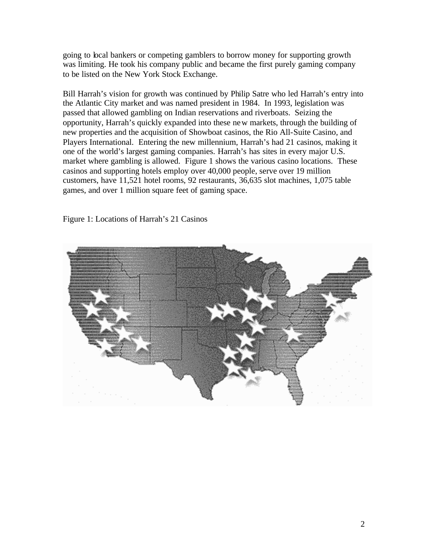going to local bankers or competing gamblers to borrow money for supporting growth was limiting. He took his company public and became the first purely gaming company to be listed on the New York Stock Exchange.

Bill Harrah's vision for growth was continued by Philip Satre who led Harrah's entry into the Atlantic City market and was named president in 1984. In 1993, legislation was passed that allowed gambling on Indian reservations and riverboats. Seizing the opportunity, Harrah's quickly expanded into these new markets, through the building of new properties and the acquisition of Showboat casinos, the Rio All-Suite Casino, and Players International. Entering the new millennium, Harrah's had 21 casinos, making it one of the world's largest gaming companies. Harrah's has sites in every major U.S. market where gambling is allowed. Figure 1 shows the various casino locations. These casinos and supporting hotels employ over 40,000 people, serve over 19 million customers, have 11,521 hotel rooms, 92 restaurants, 36,635 slot machines, 1,075 table games, and over 1 million square feet of gaming space.

Figure 1: Locations of Harrah's 21 Casinos

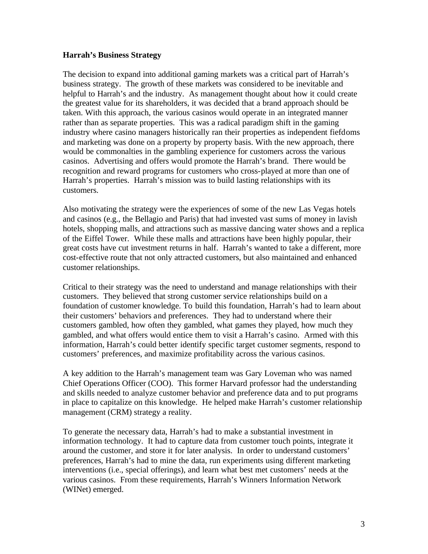#### **Harrah's Business Strategy**

The decision to expand into additional gaming markets was a critical part of Harrah's business strategy. The growth of these markets was considered to be inevitable and helpful to Harrah's and the industry. As management thought about how it could create the greatest value for its shareholders, it was decided that a brand approach should be taken. With this approach, the various casinos would operate in an integrated manner rather than as separate properties. This was a radical paradigm shift in the gaming industry where casino managers historically ran their properties as independent fiefdoms and marketing was done on a property by property basis. With the new approach, there would be commonalties in the gambling experience for customers across the various casinos. Advertising and offers would promote the Harrah's brand. There would be recognition and reward programs for customers who cross-played at more than one of Harrah's properties. Harrah's mission was to build lasting relationships with its customers.

Also motivating the strategy were the experiences of some of the new Las Vegas hotels and casinos (e.g., the Bellagio and Paris) that had invested vast sums of money in lavish hotels, shopping malls, and attractions such as massive dancing water shows and a replica of the Eiffel Tower. While these malls and attractions have been highly popular, their great costs have cut investment returns in half. Harrah's wanted to take a different, more cost-effective route that not only attracted customers, but also maintained and enhanced customer relationships.

Critical to their strategy was the need to understand and manage relationships with their customers. They believed that strong customer service relationships build on a foundation of customer knowledge. To build this foundation, Harrah's had to learn about their customers' behaviors and preferences. They had to understand where their customers gambled, how often they gambled, what games they played, how much they gambled, and what offers would entice them to visit a Harrah's casino. Armed with this information, Harrah's could better identify specific target customer segments, respond to customers' preferences, and maximize profitability across the various casinos.

A key addition to the Harrah's management team was Gary Loveman who was named Chief Operations Officer (COO). This former Harvard professor had the understanding and skills needed to analyze customer behavior and preference data and to put programs in place to capitalize on this knowledge. He helped make Harrah's customer relationship management (CRM) strategy a reality.

To generate the necessary data, Harrah's had to make a substantial investment in information technology. It had to capture data from customer touch points, integrate it around the customer, and store it for later analysis. In order to understand customers' preferences, Harrah's had to mine the data, run experiments using different marketing interventions (i.e., special offerings), and learn what best met customers' needs at the various casinos. From these requirements, Harrah's Winners Information Network (WINet) emerged.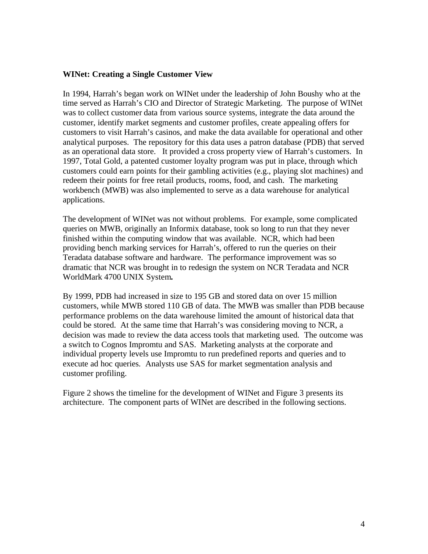#### **WINet: Creating a Single Customer View**

In 1994, Harrah's began work on WINet under the leadership of John Boushy who at the time served as Harrah's CIO and Director of Strategic Marketing. The purpose of WINet was to collect customer data from various source systems, integrate the data around the customer, identify market segments and customer profiles, create appealing offers for customers to visit Harrah's casinos, and make the data available for operational and other analytical purposes. The repository for this data uses a patron database (PDB) that served as an operational data store. It provided a cross property view of Harrah's customers. In 1997, Total Gold, a patented customer loyalty program was put in place, through which customers could earn points for their gambling activities (e.g., playing slot machines) and redeem their points for free retail products, rooms, food, and cash. The marketing workbench (MWB) was also implemented to serve as a data warehouse for analytical applications.

The development of WINet was not without problems. For example, some complicated queries on MWB, originally an Informix database, took so long to run that they never finished within the computing window that was available. NCR, which had been providing bench marking services for Harrah's, offered to run the queries on their Teradata database software and hardware. The performance improvement was so dramatic that NCR was brought in to redesign the system on NCR Teradata and NCR WorldMark 4700 UNIX System**.** 

By 1999, PDB had increased in size to 195 GB and stored data on over 15 million customers, while MWB stored 110 GB of data. The MWB was smaller than PDB because performance problems on the data warehouse limited the amount of historical data that could be stored. At the same time that Harrah's was considering moving to NCR, a decision was made to review the data access tools that marketing used. The outcome was a switch to Cognos Impromtu and SAS. Marketing analysts at the corporate and individual property levels use Impromtu to run predefined reports and queries and to execute ad hoc queries. Analysts use SAS for market segmentation analysis and customer profiling.

Figure 2 shows the timeline for the development of WINet and Figure 3 presents its architecture. The component parts of WINet are described in the following sections.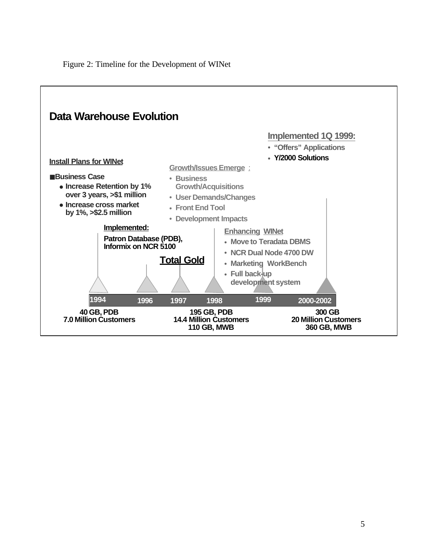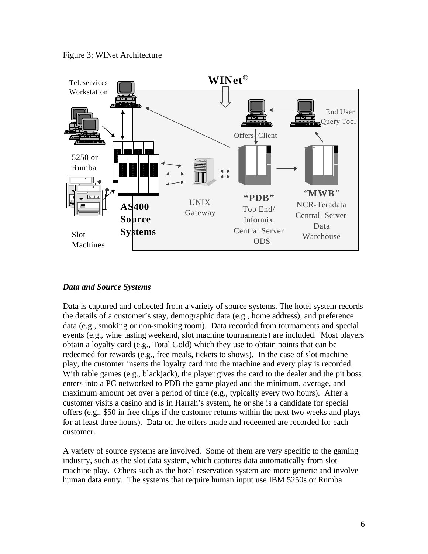Figure 3: WINet Architecture



# *Data and Source Systems*

Data is captured and collected from a variety of source systems. The hotel system records the details of a customer's stay, demographic data (e.g., home address), and preference data (e.g., smoking or non-smoking room). Data recorded from tournaments and special events (e.g., wine tasting weekend, slot machine tournaments) are included. Most players obtain a loyalty card (e.g., Total Gold) which they use to obtain points that can be redeemed for rewards (e.g., free meals, tickets to shows). In the case of slot machine play, the customer inserts the loyalty card into the machine and every play is recorded. With table games (e.g., blackjack), the player gives the card to the dealer and the pit boss enters into a PC networked to PDB the game played and the minimum, average, and maximum amount bet over a period of time (e.g., typically every two hours). After a customer visits a casino and is in Harrah's system, he or she is a candidate for special offers (e.g., \$50 in free chips if the customer returns within the next two weeks and plays for at least three hours). Data on the offers made and redeemed are recorded for each customer.

A variety of source systems are involved. Some of them are very specific to the gaming industry, such as the slot data system, which captures data automatically from slot machine play. Others such as the hotel reservation system are more generic and involve human data entry. The systems that require human input use IBM 5250s or Rumba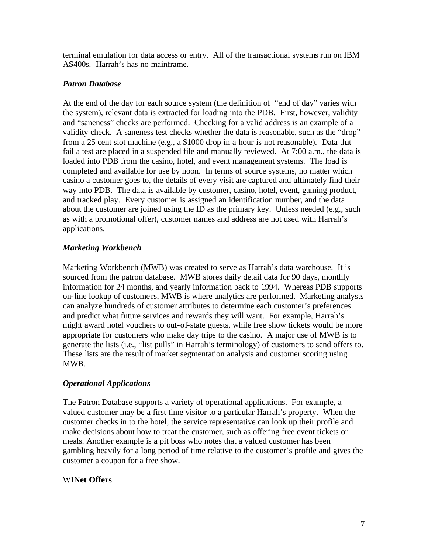terminal emulation for data access or entry. All of the transactional systems run on IBM AS400s. Harrah's has no mainframe.

### *Patron Database*

At the end of the day for each source system (the definition of "end of day" varies with the system), relevant data is extracted for loading into the PDB. First, however, validity and "saneness" checks are performed. Checking for a valid address is an example of a validity check. A saneness test checks whether the data is reasonable, such as the "drop" from a 25 cent slot machine (e.g., a \$1000 drop in a hour is not reasonable). Data that fail a test are placed in a suspended file and manually reviewed. At 7:00 a.m., the data is loaded into PDB from the casino, hotel, and event management systems. The load is completed and available for use by noon. In terms of source systems, no matter which casino a customer goes to, the details of every visit are captured and ultimately find their way into PDB. The data is available by customer, casino, hotel, event, gaming product, and tracked play. Every customer is assigned an identification number, and the data about the customer are joined using the ID as the primary key. Unless needed (e.g., such as with a promotional offer), customer names and address are not used with Harrah's applications.

# *Marketing Workbench*

Marketing Workbench (MWB) was created to serve as Harrah's data warehouse. It is sourced from the patron database. MWB stores daily detail data for 90 days, monthly information for 24 months, and yearly information back to 1994. Whereas PDB supports on-line lookup of custome rs, MWB is where analytics are performed. Marketing analysts can analyze hundreds of customer attributes to determine each customer's preferences and predict what future services and rewards they will want. For example, Harrah's might award hotel vouchers to out-of-state guests, while free show tickets would be more appropriate for customers who make day trips to the casino. A major use of MWB is to generate the lists (i.e., "list pulls" in Harrah's terminology) of customers to send offers to. These lists are the result of market segmentation analysis and customer scoring using MWB.

# *Operational Applications*

The Patron Database supports a variety of operational applications. For example, a valued customer may be a first time visitor to a particular Harrah's property. When the customer checks in to the hotel, the service representative can look up their profile and make decisions about how to treat the customer, such as offering free event tickets or meals. Another example is a pit boss who notes that a valued customer has been gambling heavily for a long period of time relative to the customer's profile and gives the customer a coupon for a free show.

# W**INet Offers**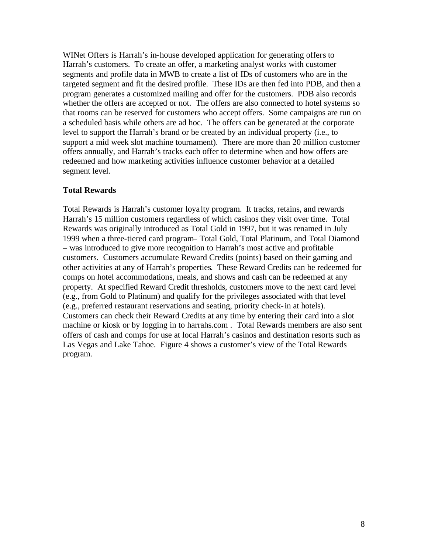WINet Offers is Harrah's in-house developed application for generating offers to Harrah's customers. To create an offer, a marketing analyst works with customer segments and profile data in MWB to create a list of IDs of customers who are in the targeted segment and fit the desired profile. These IDs are then fed into PDB, and then a program generates a customized mailing and offer for the customers. PDB also records whether the offers are accepted or not. The offers are also connected to hotel systems so that rooms can be reserved for customers who accept offers. Some campaigns are run on a scheduled basis while others are ad hoc. The offers can be generated at the corporate level to support the Harrah's brand or be created by an individual property (i.e., to support a mid week slot machine tournament). There are more than 20 million customer offers annually, and Harrah's tracks each offer to determine when and how offers are redeemed and how marketing activities influence customer behavior at a detailed segment level.

### **Total Rewards**

Total Rewards is Harrah's customer loya lty program. It tracks, retains, and rewards Harrah's 15 million customers regardless of which casinos they visit over time. Total Rewards was originally introduced as Total Gold in 1997, but it was renamed in July 1999 when a three-tiered card program– Total Gold, Total Platinum, and Total Diamond – was introduced to give more recognition to Harrah's most active and profitable customers. Customers accumulate Reward Credits (points) based on their gaming and other activities at any of Harrah's properties. These Reward Credits can be redeemed for comps on hotel accommodations, meals, and shows and cash can be redeemed at any property. At specified Reward Credit thresholds, customers move to the next card level (e.g., from Gold to Platinum) and qualify for the privileges associated with that level (e.g., preferred restaurant reservations and seating, priority check-in at hotels). Customers can check their Reward Credits at any time by entering their card into a slot machine or kiosk or by logging in to harrahs.com . Total Rewards members are also sent offers of cash and comps for use at local Harrah's casinos and destination resorts such as Las Vegas and Lake Tahoe. Figure 4 shows a customer's view of the Total Rewards program.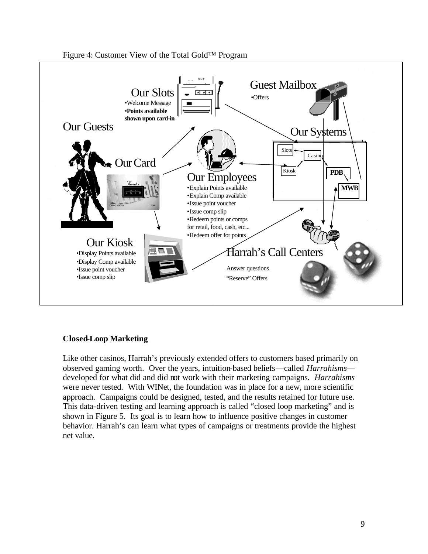

#### **Closed-Loop Marketing**

Like other casinos, Harrah's previously extended offers to customers based primarily on observed gaming worth. Over the years, intuition-based beliefs—called *Harrahisms* developed for what did and did not work with their marketing campaigns*. Harrahisms* were never tested. With WINet, the foundation was in place for a new, more scientific approach. Campaigns could be designed, tested, and the results retained for future use. This data-driven testing and learning approach is called "closed loop marketing" and is shown in Figure 5. Its goal is to learn how to influence positive changes in customer behavior. Harrah's can learn what types of campaigns or treatments provide the highest net value.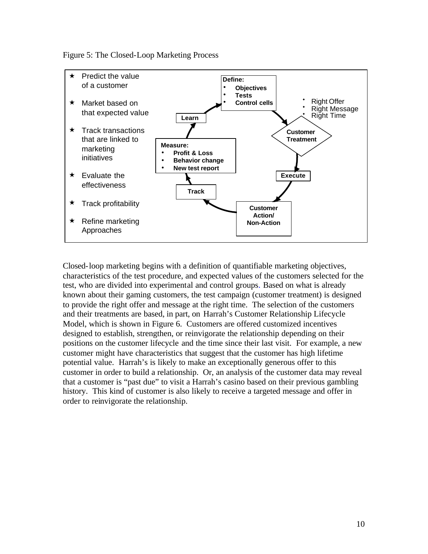Figure 5: The Closed-Loop Marketing Process



Closed-loop marketing begins with a definition of quantifiable marketing objectives, characteristics of the test procedure, and expected values of the customers selected for the test, who are divided into experimental and control groups. Based on what is already known about their gaming customers, the test campaign (customer treatment) is designed to provide the right offer and message at the right time. The selection of the customers and their treatments are based, in part, on Harrah's Customer Relationship Lifecycle Model, which is shown in Figure 6. Customers are offered customized incentives designed to establish, strengthen, or reinvigorate the relationship depending on their positions on the customer lifecycle and the time since their last visit. For example, a new customer might have characteristics that suggest that the customer has high lifetime potential value. Harrah's is likely to make an exceptionally generous offer to this customer in order to build a relationship. Or, an analysis of the customer data may reveal that a customer is "past due" to visit a Harrah's casino based on their previous gambling history. This kind of customer is also likely to receive a targeted message and offer in order to reinvigorate the relationship.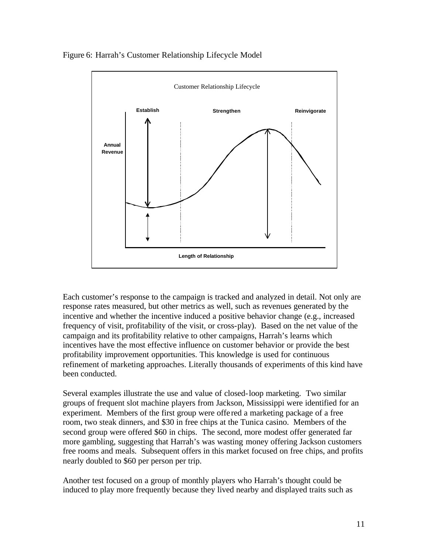

Figure 6: Harrah's Customer Relationship Lifecycle Model

Each customer's response to the campaign is tracked and analyzed in detail. Not only are response rates measured, but other metrics as well, such as revenues generated by the incentive and whether the incentive induced a positive behavior change (e.g., increased frequency of visit, profitability of the visit, or cross-play). Based on the net value of the campaign and its profitability relative to other campaigns, Harrah's learns which incentives have the most effective influence on customer behavior or provide the best profitability improvement opportunities. This knowledge is used for continuous refinement of marketing approaches. Literally thousands of experiments of this kind have been conducted.

Several examples illustrate the use and value of closed-loop marketing. Two similar groups of frequent slot machine players from Jackson, Mississippi were identified for an experiment. Members of the first group were offe red a marketing package of a free room, two steak dinners, and \$30 in free chips at the Tunica casino. Members of the second group were offered \$60 in chips. The second, more modest offer generated far more gambling, suggesting that Harrah's was wasting money offering Jackson customers free rooms and meals. Subsequent offers in this market focused on free chips, and profits nearly doubled to \$60 per person per trip.

Another test focused on a group of monthly players who Harrah's thought could be induced to play more frequently because they lived nearby and displayed traits such as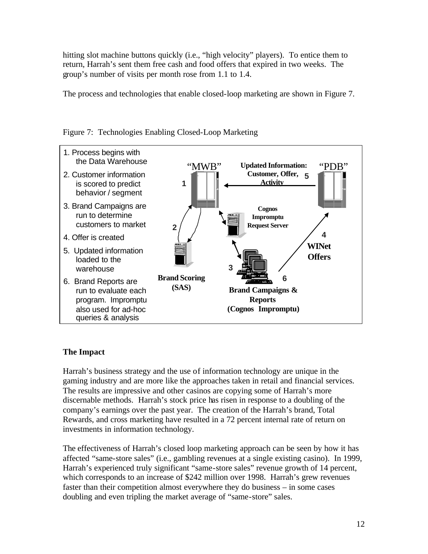hitting slot machine buttons quickly (i.e., "high velocity" players). To entice them to return, Harrah's sent them free cash and food offers that expired in two weeks. The group's number of visits per month rose from 1.1 to 1.4.

The process and technologies that enable closed-loop marketing are shown in Figure 7.



Figure 7: Technologies Enabling Closed-Loop Marketing

# **The Impact**

Harrah's business strategy and the use of information technology are unique in the gaming industry and are more like the approaches taken in retail and financial services. The results are impressive and other casinos are copying some of Harrah's more discernable methods. Harrah's stock price has risen in response to a doubling of the company's earnings over the past year. The creation of the Harrah's brand, Total Rewards, and cross marketing have resulted in a 72 percent internal rate of return on investments in information technology.

The effectiveness of Harrah's closed loop marketing approach can be seen by how it has affected "same-store sales" (i.e., gambling revenues at a single existing casino). In 1999, Harrah's experienced truly significant "same-store sales" revenue growth of 14 percent, which corresponds to an increase of \$242 million over 1998. Harrah's grew revenues faster than their competition almost everywhere they do business – in some cases doubling and even tripling the market average of "same-store" sales.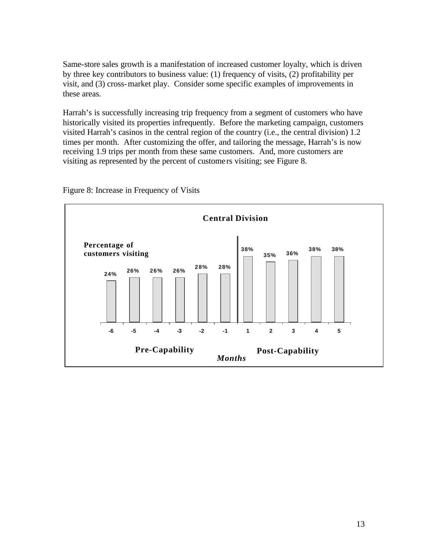Same-store sales growth is a manifestation of increased customer loyalty, which is driven by three key contributors to business value: (1) frequency of visits, (2) profitability per visit, and (3) cross-market play. Consider some specific examples of improvements in these areas.

Harrah's is successfully increasing trip frequency from a segment of customers who have historically visited its properties infrequently. Before the marketing campaign, customers visited Harrah's casinos in the central region of the country (i.e., the central division) 1.2 times per month. After customizing the offer, and tailoring the message, Harrah's is now receiving 1.9 trips per month from these same customers. And, more customers are visiting as represented by the percent of custome rs visiting; see Figure 8.



Figure 8: Increase in Frequency of Visits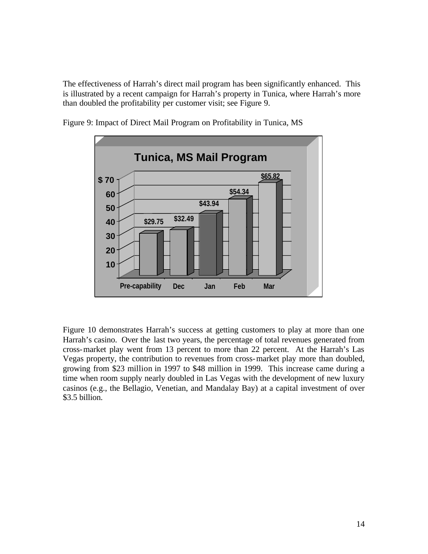The effectiveness of Harrah's direct mail program has been significantly enhanced. This is illustrated by a recent campaign for Harrah's property in Tunica, where Harrah's more than doubled the profitability per customer visit; see Figure 9.



Figure 9: Impact of Direct Mail Program on Profitability in Tunica, MS

Figure 10 demonstrates Harrah's success at getting customers to play at more than one Harrah's casino. Over the last two years, the percentage of total revenues generated from cross-market play went from 13 percent to more than 22 percent. At the Harrah's Las Vegas property, the contribution to revenues from cross-market play more than doubled, growing from \$23 million in 1997 to \$48 million in 1999. This increase came during a time when room supply nearly doubled in Las Vegas with the development of new luxury casinos (e.g., the Bellagio, Venetian, and Mandalay Bay) at a capital investment of over \$3.5 billion.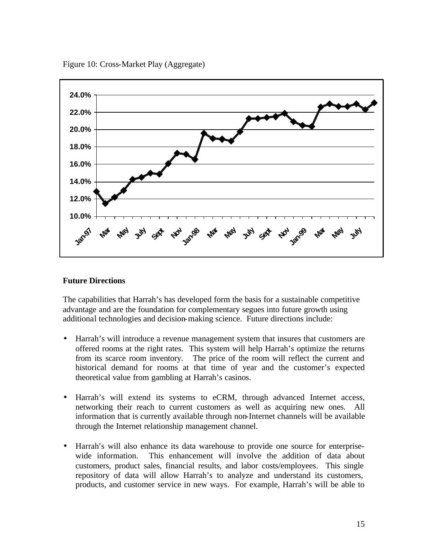Figure 10: Cross-Market Play (Aggregate)



#### **Future Directions**

The capabilities that Harrah's has developed form the basis for a sustainable competitive advantage and are the foundation for complementary segues into future growth using additional technologies and decision-making science. Future directions include:

- Harrah's will introduce a revenue management system that insures that customers are offered rooms at the right rates. This system will help Harrah's optimize the returns from its scarce room inventory. The price of the room will reflect the current and historical demand for rooms at that time of year and the customer's expected theoretical value from gambling at Harrah's casinos.
- Harrah's will extend its systems to eCRM, through advanced Internet access, networking their reach to current customers as well as acquiring new ones. All information that is currently available through non-Internet channels will be available through the Internet relationship management channel.
- Harrah's will also enhance its data warehouse to provide one source for enterprisewide information. This enhancement will involve the addition of data about customers, product sales, financial results, and labor costs/employees. This single repository of data will allow Harrah's to analyze and understand its customers, products, and customer service in new ways. For example, Harrah's will be able to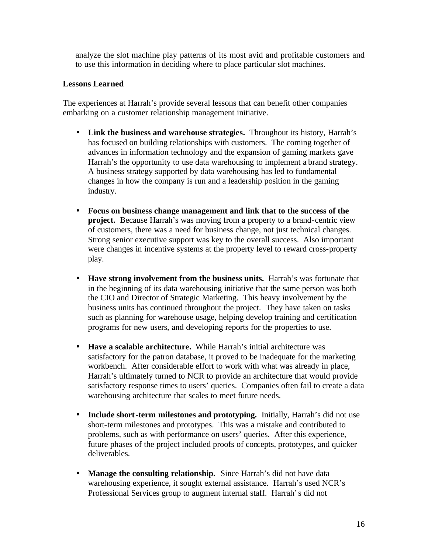analyze the slot machine play patterns of its most avid and profitable customers and to use this information in deciding where to place particular slot machines.

#### **Lessons Learned**

The experiences at Harrah's provide several lessons that can benefit other companies embarking on a customer relationship management initiative.

- **Link the business and warehouse strategies.** Throughout its history, Harrah's has focused on building relationships with customers. The coming together of advances in information technology and the expansion of gaming markets gave Harrah's the opportunity to use data warehousing to implement a brand strategy. A business strategy supported by data warehousing has led to fundamental changes in how the company is run and a leadership position in the gaming industry.
- **Focus on business change management and link that to the success of the project.** Because Harrah's was moving from a property to a brand-centric view of customers, there was a need for business change, not just technical changes. Strong senior executive support was key to the overall success. Also important were changes in incentive systems at the property level to reward cross-property play.
- **Have strong involvement from the business units.** Harrah's was fortunate that in the beginning of its data warehousing initiative that the same person was both the CIO and Director of Strategic Marketing. This heavy involvement by the business units has continued throughout the project. They have taken on tasks such as planning for warehouse usage, helping develop training and certification programs for new users, and developing reports for the properties to use.
- **Have a scalable architecture.** While Harrah's initial architecture was satisfactory for the patron database, it proved to be inadequate for the marketing workbench. After considerable effort to work with what was already in place, Harrah's ultimately turned to NCR to provide an architecture that would provide satisfactory response times to users' queries. Companies often fail to create a data warehousing architecture that scales to meet future needs.
- **Include short-term milestones and prototyping.** Initially, Harrah's did not use short-term milestones and prototypes. This was a mistake and contributed to problems, such as with performance on users' queries. After this experience, future phases of the project included proofs of concepts, prototypes, and quicker deliverables.
- **Manage the consulting relationship.** Since Harrah's did not have data warehousing experience, it sought external assistance. Harrah's used NCR's Professional Services group to augment internal staff. Harrah's did not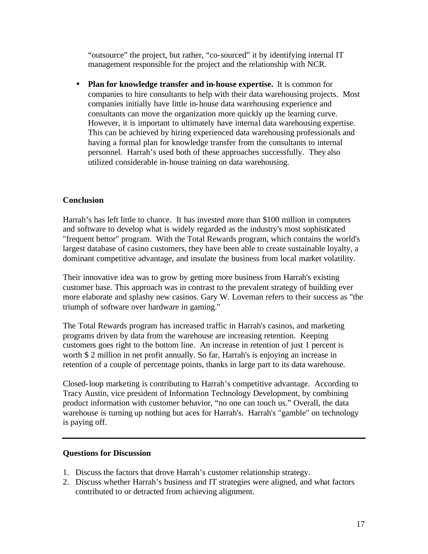"outsource" the project, but rather, "co-sourced" it by identifying internal IT management responsible for the project and the relationship with NCR.

• **Plan for knowledge transfer and in-house expertise.** It is common for companies to hire consultants to help with their data warehousing projects. Most companies initially have little in-house data warehousing experience and consultants can move the organization more quickly up the learning curve. However, it is important to ultimately have internal data warehousing expertise. This can be achieved by hiring experienced data warehousing professionals and having a formal plan for knowledge transfer from the consultants to internal personnel. Harrah's used both of these approaches successfully. They also utilized considerable in-house training on data warehousing.

### **Conclusion**

Harrah's has left little to chance. It has invested more than \$100 million in computers and software to develop what is widely regarded as the industry's most sophisticated "frequent bettor" program. With the Total Rewards program, which contains the world's largest database of casino customers, they have been able to create sustainable loyalty, a dominant competitive advantage, and insulate the business from local market volatility.

Their innovative idea was to grow by getting more business from Harrah's existing customer base. This approach was in contrast to the prevalent strategy of building ever more elaborate and splashy new casinos. Gary W. Loveman refers to their success as "the triumph of software over hardware in gaming."

The Total Rewards program has increased traffic in Harrah's casinos, and marketing programs driven by data from the warehouse are increasing retention. Keeping customers goes right to the bottom line. An increase in retention of just 1 percent is worth \$ 2 million in net profit annually. So far, Harrah's is enjoying an increase in retention of a couple of percentage points, thanks in large part to its data warehouse.

Closed-loop marketing is contributing to Harrah's competitive advantage. According to Tracy Austin, vice president of Information Technology Development, by combining product information with customer behavior, "no one can touch us." Overall, the data warehouse is turning up nothing but aces for Harrah's. Harrah's "gamble" on technology is paying off.

#### **Questions for Discussion**

- 1. Discuss the factors that drove Harrah's customer relationship strategy.
- 2. Discuss whether Harrah's business and IT strategies were aligned, and what factors contributed to or detracted from achieving alignment.